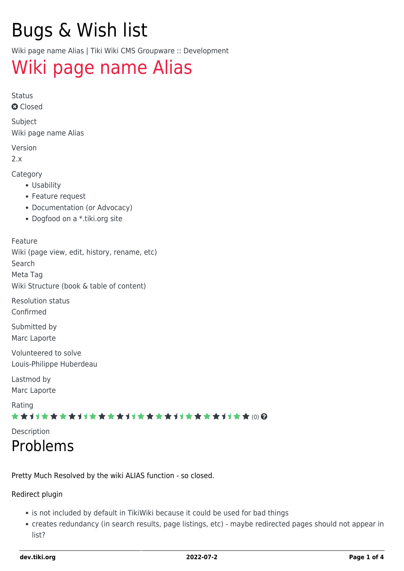# Bugs & Wish list

Wiki page name Alias | Tiki Wiki CMS Groupware :: Development

## [Wiki page name Alias](https://dev.tiki.org/item1489-Wiki-page-name-Alias)

Status

**a** Closed

Subject Wiki page name Alias

Version

2.x

Category

- Usability
- Feature request
- Documentation (or Advocacy)
- Dogfood on a \*.tiki.org site

Feature Wiki (page view, edit, history, rename, etc) Search Meta Tag

Wiki Structure (book & table of content)

Resolution status Confirmed

Submitted by Marc Laporte

Volunteered to solve Louis-Philippe Huberdeau

Lastmod by Marc Laporte

Rating

★★オオ★★★★オオ★★★★オオ★★★★オオ★★★★オオ★★ (0) @

Description

## Problems

Pretty Much Resolved by the wiki ALIAS function - so closed.

#### Redirect plugin

- is not included by default in TikiWiki because it could be used for bad things
- creates redundancy (in search results, page listings, etc) maybe redirected pages should not appear in list?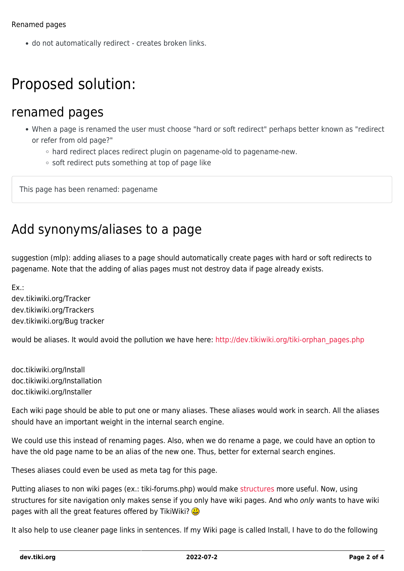do not automatically redirect - creates broken links.

## Proposed solution:

#### renamed pages

- When a page is renamed the user must choose "hard or soft redirect" perhaps better known as "redirect or refer from old page?"
	- hard redirect places redirect plugin on pagename-old to pagename-new.
	- $\circ$  soft redirect puts something at top of page like

This page has been renamed: pagename

#### Add synonyms/aliases to a page

suggestion (mlp): adding aliases to a page should automatically create pages with hard or soft redirects to pagename. Note that the adding of alias pages must not destroy data if page already exists.

Ex.:

dev.tikiwiki.org/Tracker dev.tikiwiki.org/Trackers dev.tikiwiki.org/Bug tracker

would be aliases. It would avoid the pollution we have here: [http://dev.tikiwiki.org/tiki-orphan\\_pages.php](http://dev.tikiwiki.org/tiki-orphan_pages.php)

doc.tikiwiki.org/Install doc.tikiwiki.org/Installation doc.tikiwiki.org/Installer

Each wiki page should be able to put one or many aliases. These aliases would work in search. All the aliases should have an important weight in the internal search engine.

We could use this instead of renaming pages. Also, when we do rename a page, we could have an option to have the old page name to be an alias of the new one. Thus, better for external search engines.

Theses aliases could even be used as meta tag for this page.

Putting aliases to non wiki pages (ex.: tiki-forums.php) would make [structures](http://doc.tiki.org/structures) more useful. Now, using structures for site navigation only makes sense if you only have wiki pages. And who only wants to have wiki pages with all the great features offered by TikiWiki?

It also help to use cleaner page links in sentences. If my Wiki page is called Install, I have to do the following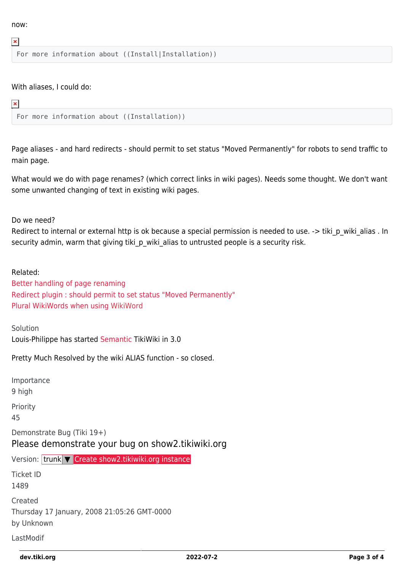now:

 $\pmb{\times}$ 

For more information about ((Install|Installation))

With aliases, I could do:

#### $\pmb{\times}$

```
For more information about ((Installation))
```
Page aliases - and hard redirects - should permit to set status "Moved Permanently" for robots to send traffic to main page.

What would we do with page renames? (which correct links in wiki pages). Needs some thought. We don't want some unwanted changing of text in existing wiki pages.

Do we need?

Redirect to internal or external http is ok because a special permission is needed to use. -> tiki p wiki alias . In security admin, warm that giving tiki p wiki alias to untrusted people is a security risk.

Related: [Better handling of page renaming](https://dev.tiki.org/wish1119) [Redirect plugin : should permit to set status "Moved Permanently"](https://dev.tiki.org/wish1610) [Plural WikiWords when using](https://dev.tiki.org/wish1292) [WikiWord](https://dev.tiki.org/tiki-editpage.php?page=WikiWord)

Solution Louis-Philippe has started [Semantic](http://doc.tiki.org/Semantic) TikiWiki in 3.0

Pretty Much Resolved by the wiki ALIAS function - so closed.

Importance 9 high Priority 45 Demonstrate Bug (Tiki 19+) Please demonstrate your bug on show2.tikiwiki.org Version: trunk ▼ [Create show2.tikiwiki.org instance](#page--1-0) Ticket ID 1489 Created Thursday 17 January, 2008 21:05:26 GMT-0000 by Unknown LastModif